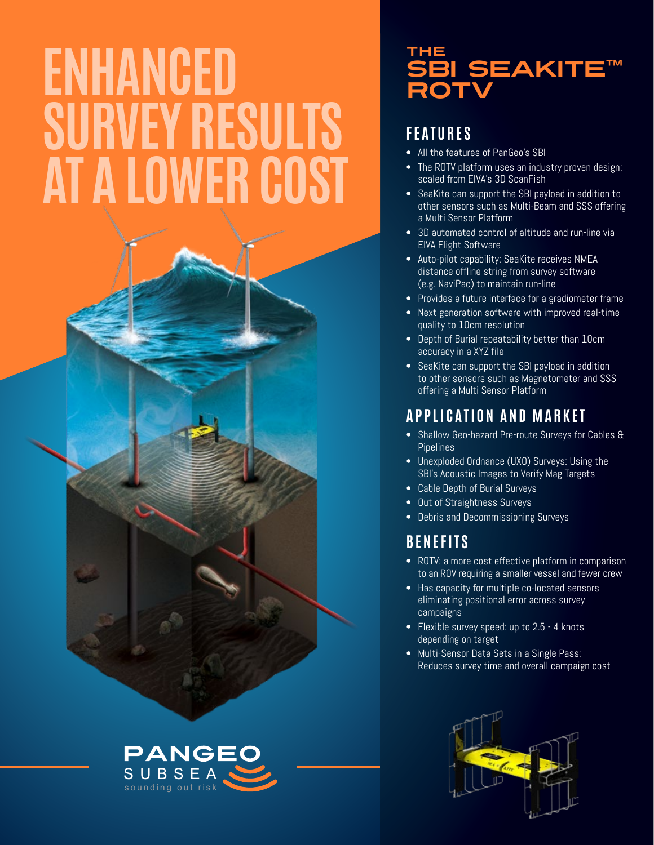# **ENHANCED SURVEY RESULTS AT A LOWER COST**



# THE SBI SEAKITE™

# **FEATURES**

- All the features of PanGeo's SBI
- The ROTV platform uses an industry proven design: scaled from EIVA's 3D ScanFish
- SeaKite can support the SBI payload in addition to other sensors such as Multi-Beam and SSS offering a Multi Sensor Platform
- 3D automated control of altitude and run-line via EIVA Flight Software
- Auto-pilot capability: SeaKite receives NMEA distance offline string from survey software (e.g. NaviPac) to maintain run-line
- Provides a future interface for a gradiometer frame
- Next generation software with improved real-time quality to 10cm resolution
- Depth of Burial repeatability better than 10cm accuracy in a XYZ file
- SeaKite can support the SBI payload in addition to other sensors such as Magnetometer and SSS offering a Multi Sensor Platform

# **APPLICATION AND MARKET**

- Shallow Geo-hazard Pre-route Surveys for Cables & Pipelines
- Unexploded Ordnance (UXO) Surveys: Using the SBI's Acoustic Images to Verify Mag Targets
- Cable Depth of Burial Surveys
- Out of Straightness Surveys
- Debris and Decommissioning Surveys

# **BENEFITS**

- ROTV: a more cost effective platform in comparison to an ROV requiring a smaller vessel and fewer crew
- Has capacity for multiple co-located sensors eliminating positional error across survey campaigns
- Flexible survey speed: up to 2.5 4 knots depending on target
- Multi-Sensor Data Sets in a Single Pass: Reduces survey time and overall campaign cost